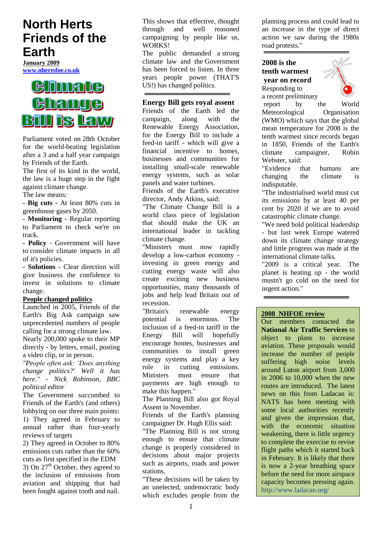# **North Herts Friends of the Earth**

**January 2009 [www.nhertsfoe.co.uk](http://www.nhertsfoe.co.uk/)**



Parliament voted on 28th October for the world-beating legislation after a 3 and a half year campaign by Friends of the Earth.

The first of its kind in the world, the law is a huge step in the fight against climate change.

The law means:

**- Big cuts -** At least 80% cuts in greenhouse gases by 2050.

**- Monitoring -** Regular reporting to Parliament to check we're on track.

**- Policy** - Government will have to consider climate impacts in all of it's policies.

**- Solutions -** Clear direction will give business the confidence to invest in solutions to climate change.

#### **People changed politics**

[Launched in 2005,](http://www.foe.org.uk/campaigns/climate/news/big_ask.html) Friends of the Earth's Big Ask campaign saw unprecedented numbers of people calling for a strong climate law.

Nearly 200,000 spoke to their MP directly - by letters, email, posting a video clip, or in person.

*"People often ask: 'Does anything change politics?' Well it has here." - Nick Robinson, BBC political editor*

The Government succumbed to Friends of the Earth's (and others) lobbying on our three main points: 1) They agreed in February to annual rather than four-yearly reviews of targets

2) They agreed in October to 80% emissions cuts rather than the 60% cuts as first specified in the EDM 3) On  $27<sup>th</sup>$  October, they agreed to the inclusion of emissions from aviation and shipping that had been fought against tooth and nail.

This shows that effective, thought through and well reasoned campaigning by people like us, WORKS!

The public demanded a strong climate law and the Government has been forced to listen. In three years people power (THAT'S US!) has changed politics.

# **Energy Bill gets royal assent**

Friends of the Earth led the campaign, along with the Renewable Energy Association, for the Energy Bill to include a feed-in tariff - which will give a financial incentive to homes, businesses and communities for installing small-scale renewable energy systems, such as solar panels and water turbines.

Friends of the Earth's executive director, Andy Atkins, said:

"The Climate Change Bill is a world class piece of legislation that should make the UK an international leader in tackling climate change.

"Ministers must now rapidly develop a low-carbon economy investing in green energy and cutting energy waste will also create exciting new business opportunities, many thousands of jobs and help lead Britain out of recession.

"Britain's renewable energy<br>potential is enormous The potential is enormous. The inclusion of a feed-in tariff in the Energy Bill will hopefully encourage homes, businesses and communities to install green energy systems and play a key role in cutting emissions. Ministers must ensure that payments are high enough to make this happen."

The Planning Bill also got Royal Assent in November.

Friends of the Earth's planning campaigner Dr. Hugh Ellis said:

"The Planning Bill is not strong enough to ensure that climate change is properly considered in decisions about major projects such as airports, roads and power stations.

"These decisions will be taken by an unelected, undemocratic body which excludes people from the

planning process and could lead to an increase in the type of direct action we saw during the 1980s road protests."

# **2008 is the tenth warmest year on record**  Responding to a recent preliminary



report by the World Meteorological Organisation (WMO) which says that the global mean temperature for 2008 is the tenth warmest since records began in 1850, Friends of the Earth's climate campaigner, Robin Webster, said:

"Evidence that humans are changing the climate is indisputable.

"The industrialised world must cut its emissions by at least 40 per cent by 2020 if we are to avoid catastrophic climate change.

"We need bold political leadership - but last week Europe watered down its climate change strategy and little progress was made at the international climate talks.

"2009 is a critical year. The planet is heating up - the world mustn't go cold on the need for urgent action."

# **2008 NHFOE review**

Our members contacted the **National Air Traffic Services** to object to plans to increase aviation. These proposals would increase the number of people suffering high noise levels around Luton airport from 3,000 in 2006 to 10,000 when the new routes are introduced. The latest news on this from Ladacan is: NATS has been meeting with some local authorities recently and given the impression that, with the economic situation weakening, there is little urgency to complete the exercise to revise flight paths which it started back in February. It is likely that there is now a 2-year breathing space before the need for more airspace capacity becomes pressing again. http://www.ladacan.org/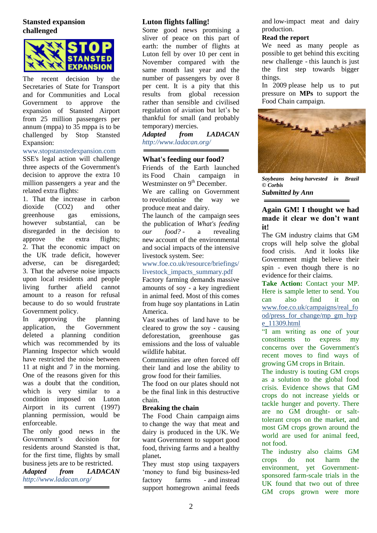# **Stansted expansion challenged**



The recent decision by the Secretaries of State for Transport and for Communities and Local Government to approve the expansion of Stansted Airport from 25 million passengers per annum (mppa) to 35 mppa is to be challenged by [Stop Stansted](javascript:openpopup_27b5()  [Expansion:](javascript:openpopup_27b5()

# www.stopstanstedexpansion.com

SSE's legal action will challenge three aspects of the Government's decision to approve the extra 10 million passengers a year and the related extra flights:

1. That the increase in carbon dioxide (CO2) and other greenhouse gas emissions, however substantial, can be disregarded in the decision to approve the extra flights; 2. That the economic impact on the UK trade deficit, however adverse, can be disregarded; 3. That the adverse noise impacts upon local residents and people living further afield cannot amount to a reason for refusal because to do so would frustrate Government policy.

In approving the planning application, the Government deleted a planning condition which was recommended by its Planning Inspector which would have restricted the noise between 11 at night and 7 in the morning. One of the reasons given for this was a doubt that the condition, which is very similar to a condition imposed on Luton Airport in its current (1997) planning permission, would be enforceable.

The only good news in the Government"s decision for residents around Stansted is that, for the first time, flights by small business jets are to be restricted.

*Adapted from LADACAN http://www.ladacan.org/*

# **Luton flights falling!**

Some good news promising a sliver of peace on this part of earth: the number of flights at Luton fell by over 10 per cent in November compared with the same month last year and the number of passengers by over 8 per cent. It is a pity that this results from global recession rather than sensible and civilised regulation of aviation but let's be thankful for small (and probably temporary) mercies.

*Adapted from LADACAN http://www.ladacan.org/*

# **What's feeding our food?**

Friends of the Earth launched its Food Chain campaign in Westminster on  $9<sup>th</sup>$  December.

We are calling on Government to revolutionise the way we produce meat and dairy.

The launch of the campaign sees the publication of *[What's feeding](http://www.foe.co.uk/resource/briefings/livestock_impacts_summary.pdf)  [our food?](http://www.foe.co.uk/resource/briefings/livestock_impacts_summary.pdf) -* a revealing new account of the environmental and social impacts of the intensive livestock system. See:

#### www.foe.co.uk/resource/briefings/ livestock\_impacts\_summary.pdf

Factory farming demands massive amounts of soy - a key ingredient in animal feed. Most of this comes from huge soy plantations in Latin America.

Vast swathes of land have to be cleared to grow the soy - causing deforestation, greenhouse gas emissions and the loss of valuable wildlife habitat.

Communities are often forced off their land and lose the ability to grow food for their families.

The food on our plates should not be the final link in this destructive chain.

# **Breaking the chain**

The Food Chain campaign aims to change the way that meat and dairy is produced in the UK. We want Government to support good food, thriving farms and a healthy planet**.**

They must stop using taxpayers 'money to fund big business-led factory farms - and instead support homegrown animal feeds

and low-impact meat and dairy production.

## **Read the report**

We need as many people as possible to get behind this exciting new challenge - this launch is just the first step towards bigger things.

In 2009 please help us to put pressure on **MPs** to support the Food Chain campaign.



*Soybeans being harvested in Brazil © Corbis*

*Submitted by Ann*

# **Again GM! I thought we had made it clear we don't want it!**

The GM industry claims that GM crops will help solve the [global](http://www.foe.co.uk/resource/press_releases/world_leaders_warned_off_p_02062008.html)  [food crisis.](http://www.foe.co.uk/resource/press_releases/world_leaders_warned_off_p_02062008.html) And it looks like Government might believe their [spin](http://www.foe.co.uk/resource/press_releases/government_must_not_fall_f_19062008.html) - even though there is no evidence for their claims.

**Take Action:** Contact your MP. Here is sample letter to send. You can also find it on [www.foe.co.uk/campaigns/real\\_fo](http://www.foe.co.uk/campaigns/real_food/press_for_change/mp_gm_hype_11309.html) [od/press\\_for\\_change/mp\\_gm\\_hyp](http://www.foe.co.uk/campaigns/real_food/press_for_change/mp_gm_hype_11309.html) [e\\_11309.html](http://www.foe.co.uk/campaigns/real_food/press_for_change/mp_gm_hype_11309.html)

"I am writing as one of your constituents to express my concerns over the Government's recent moves to find ways of growing GM crops in Britain.

The industry is touting GM crops as a solution to the global food crisis. Evidence shows that GM crops do not increase yields or tackle hunger and poverty. There are no GM drought- or salttolerant crops on the market, and most GM crops grown around the world are used for animal feed, not food.

The industry also claims GM crops do not harm the environment, yet Governmentsponsored farm-scale trials in the UK found that two out of three GM crops grown were more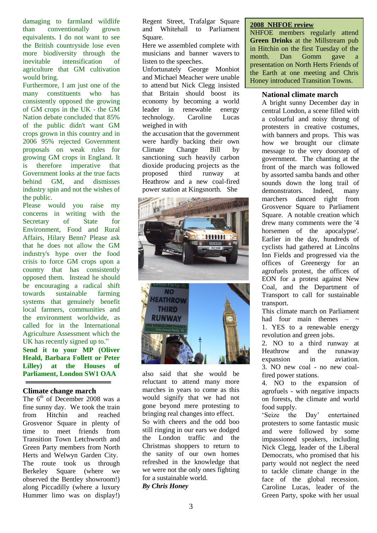damaging to farmland wildlife than conventionally grown equivalents. I do not want to see the British countryside lose even more biodiversity through the inevitable intensification of agriculture that GM cultivation would bring.

Furthermore, I am just one of the many constituents who has consistently opposed the growing of GM crops in the UK - the GM Nation debate concluded that 85% of the public didn't want GM crops grown in this country and in 2006 95% rejected Government proposals on weak rules for growing GM crops in England. It is therefore imperative that Government looks at the true facts behind GM, and dismisses industry spin and not the wishes of the public.

Please would you raise my concerns in writing with the Secretary of State for Environment, Food and Rural Affairs, Hilary Benn? Please ask that he does not allow the GM industry's hype over the food crisis to force GM crops upon a country that has consistently opposed them. Instead he should be encouraging a radical shift towards sustainable farming systems that genuinely benefit local farmers, communities and the environment worldwide, as called for in the International Agriculture Assessment which the UK has recently signed up to." **Send it to your MP (Oliver Heald, Barbara Follett or Peter Lilley) at the Houses of Parliament, London SW1 OAA**

# **Climate change march**

The  $6<sup>th</sup>$  of December 2008 was a fine sunny day. We took the train from Hitchin and reached Grosvenor Square in plenty of time to meet friends from Transition Town Letchworth and Green Party members from North Herts and Welwyn Garden City. The route took us through Berkeley Square (where we observed the Bentley showroom!) along Piccadilly (where a luxury Hummer limo was on display!)

Regent Street, Trafalgar Square and Whitehall to Parliament Square.

Here we assembled complete with musicians and banner wavers to listen to the speeches.

Unfortunately George Monbiot and Michael Meacher were unable to attend but Nick Clegg insisted that Britain should boost its economy by becoming a world leader in renewable energy technology. Caroline Lucas weighed in with

the accusation that the government were hardly backing their own Climate Change Bill by sanctioning such heavily carbon dioxide producing projects as the proposed third runway at Heathrow and a new coal-fired power station at Kingsnorth. She



also said that she would be reluctant to attend many more marches in years to come as this would signify that we had not gone beyond mere protesting to bringing real changes into effect. So with cheers and the odd boo still ringing in our ears we dodged the London traffic and the Christmas shoppers to return to the sanity of our own homes refreshed in the knowledge that we were not the only ones fighting for a sustainable world. *By Chris Honey*

#### **2008 NHFOE review**

NHFOE members regularly attend **Green Drinks** at the Millstream pub in Hitchin on the first Tuesday of the month. Dan Gomm gave a presentation on North Herts Friends of the Earth at one meeting and Chris Honey introduced Transition Towns.

# **National climate march**

A bright sunny December day in central London, a scene filled with a colourful and noisy throng of protesters in creative costumes, with banners and props. This was how we brought our climate message to the very doorstep of government. The chanting at the front of the march was followed by assorted samba bands and other sounds down the long trail of demonstrators. Indeed, many marchers danced right from Grosvenor Square to Parliament Square. A notable creation which drew many comments were the '4 horsemen of the apocalypse'. Earlier in the day, hundreds of cyclists had gathered at Lincolns Inn Fields and progressed via the offices of Greenergy for an agrofuels protest, the offices of EON for a protest against New Coal, and the Department of Transport to call for sustainable transport.

This climate march on Parliament had four main themes  $-$ 1. YES to a renewable energy revolution and green jobs.

2. [NO to a third runway at](http://www.campaigncc.org/heathrow.shtml)  [Heathrow a](http://www.campaigncc.org/heathrow.shtml)nd the runaway expansion in aviation. 3. [NO new coal -](http://www.campaigncc.org/kingsnorth.shtml) no new coalfired power stations.

4. [NO to the expansion of](http://www.campaigncc.org/biofuels.shtml)  [agrofuels](http://www.campaigncc.org/biofuels.shtml) - with negative impacts on forests, the climate and world food supply.

"Seize the Day" entertained protesters to some fantastic music and were followed by some impassioned speakers, including Nick Clegg, leader of the Liberal Democrats, who promised that his party would not neglect the need to tackle climate change in the face of the global recession. Caroline Lucas, leader of the Green Party, spoke with her usual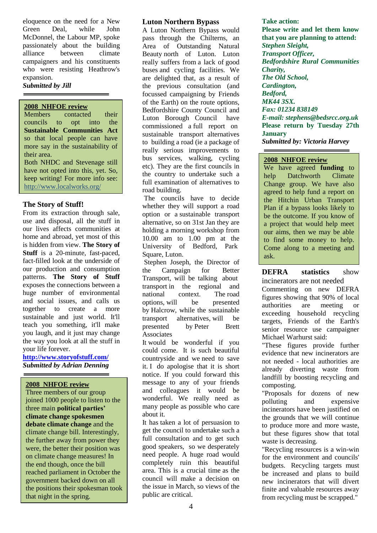eloquence on the need for a New Green Deal, while John McDonnel, the Labour MP, spoke passionately about the building alliance between climate campaigners and his constituents who were resisting Heathrow's expansion.

#### *Submitted by Jill*

# **2008 NHFOE review**

Members contacted their councils to opt into the **Sustainable Communities Act** so that local people can have more say in the sustainability of their area. Both NHDC and Stevenage still have not opted into this, yet. So, keep writing! For more info see: <http://www.localworks.org/>

# **The Story of Stuff!**

From its extraction through sale, use and disposal, all the stuff in our lives affects communities at home and abroad, yet most of this is hidden from view. **The Story of Stuff** is a 20-minute, fast-paced, fact-filled look at the underside of our production and consumption patterns. **The Story of Stuff** exposes the connections between a huge number of environmental and social issues, and calls us together to create a more sustainable and just world. It'll teach you something, it'll make you laugh, and it just may change the way you look at all the stuff in your life forever.

**<http://www.storyofstuff.com/>** *Submitted by Adrian Denning*

#### **2008 NHFOE review**

Three members of our group joined 1000 people to listen to the three main **political parties' climate change spokesmen debate climate change** and the climate change bill. Interestingly, the further away from power they were, the better their position was on climate change measures! In the end though, once the bill reached parliament in October the government backed down on all the positions their spokesman took that night in the spring.

# **Luton Northern Bypass**

A Luton Northern Bypass would pass through the Chilterns, an Area of Outstanding Natural Beauty north of Luton. Luton really suffers from a lack of good buses and cycling facilities. We are delighted that, as a result of the previous consultation (and focussed campaigning by Friends of the Earth) on the route options, Bedfordshire County Council and Luton Borough Council have commissioned a full report on sustainable transport alternatives to building a road (ie a package of really serious improvements to bus services, walking, cycling etc). They are the first councils in the country to undertake such a full examination of alternatives to road building.

The councils have to decide whether they will support a road option or a sustainable transport alternative, so on 31st Jan they are holding a morning workshop from 10.00 am to 1.00 pm at the University of Bedford, Park Square, Luton.

Stephen Joseph, the Director of the Campaign for Better Transport, will be talking about transport in the regional and national context. The road options, will be presented by Halcrow, while the sustainable transport alternatives, will be presented by Peter Brett Associates

It would be wonderful if you could come. It is such beautiful countryside and we need to save it. I do apologise that it is short notice. If you could forward this message to any of your friends and colleagues it would be wonderful. We really need as many people as possible who care about it.

It has taken a lot of persuasion to get the council to undertake such a full consultation and to get such good speakers, so we desperately need people. A huge road would completely ruin this beautiful area. This is a crucial time as the council will make a decision on the issue in March, so views of the public are critical.

**Take action: Please write and let them know that you are planning to attend:** *Stephen Sleight, Transport Officer, Bedfordshire Rural Communities Charity, The Old School, Cardington, Bedford, MK44 3SX. Fax: 01234 838149 E-mail: stephens@bedsrcc.org.uk* **Please return by Tuesday 27th January** *Submitted by: Victoria Harvey*

#### **2008 NHFOE review**

We have agreed **funding** to help Datchworth Climate Change group. We have also agreed to help fund a report on the Hitchin Urban Transport Plan if a bypass looks likely to be the outcome. If you know of a project that would help meet our aims, then we may be able to find some money to help. Come along to a meeting and ask.

**DEFRA statistics** show incinerators are not needed

Commenting on new DEFRA figures showing that 90% of local authorities are meeting or exceeding household recycling targets, Friends of the Earth's senior resource use campaigner Michael Warhurst said:

"These figures provide further evidence that new incinerators are not needed - local authorities are already diverting waste from landfill by boosting recycling and composting.

"Proposals for dozens of new polluting and expensive incinerators have been justified on the grounds that we will continue to produce more and more waste, but these figures show that total waste is decreasing.

"Recycling resources is a win-win for the environment and councils' budgets. Recycling targets must be increased and plans to build new incinerators that will divert finite and valuable resources away from recycling must be scrapped."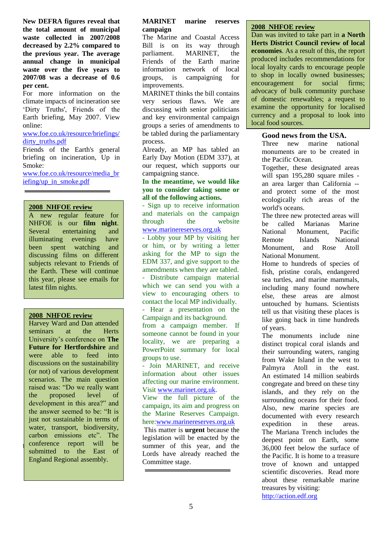**New DEFRA figures reveal that the total amount of municipal waste collected in 2007/2008 decreased by 2.2% compared to the previous year. The average annual change in municipal waste over the five years to 2007/08 was a decrease of 0.6 per cent.** 

For more information on the climate impacts of incineration see 'Dirty Truths', Friends of the Earth briefing, May 2007. View online:

#### [www.foe.co.uk/resource/briefings/](http://www.foe.co.uk/resource/briefings/dirty_truths.pdf) [dirty\\_truths.pdf](http://www.foe.co.uk/resource/briefings/dirty_truths.pdf)

Friends of the Earth's general briefing on incineration, Up in Smoke:

[www.foe.co.uk/resource/media\\_br](http://www.foe.co.uk/resource/media_briefing/up_in_smoke.pdf) [iefing/up\\_in\\_smoke.pdf](http://www.foe.co.uk/resource/media_briefing/up_in_smoke.pdf)

# **2008 NHFOE review**

A new regular feature for NHFOE is our **film night**. Several entertaining and illuminating evenings have been spent watching and discussing films on different subjects relevant to Friends of the Earth. These will continue this year, please see emails for latest film nights.

#### **2008 NHFOE review**

**EXECUTE EXECUTE: THE ICONTENT CONFERENCE** TEPOIT WILL be Harvey Ward and Dan attended seminars at the Herts University"s conference on **The Future for Hertfordshire** and were able to feed into discussions on the sustainability (or not) of various development scenarios. The main question raised was: "Do we really want the proposed level of development in this area?" and the answer seemed to be: "It is just not sustainable in terms of water, transport, biodiversity, carbon emissions etc". The conference report will be England Regional assembly.

#### **MARINET marine reserves campaign**

The Marine and Coastal Access Bill is on its way through parliament. MARINET, the Friends of the Earth marine information network of local groups, is campaigning for improvements.

MARINET thinks the bill contains very serious flaws. We are discussing with senior politicians and key environmental campaign groups a series of amendments to be tabled during the parliamentary process.

Already, an MP has tabled an Early Day Motion (EDM 337), at our request, which supports our campaigning stance.

#### **In the meantime, we would like you to consider taking some or all of the following actions.**

- Sign up to receive information and materials on the campaign through the website [www.marinereserves.org.uk](http://www.marinereserves.org.uk/)

- Lobby your MP by visiting her or him, or by writing a letter asking for the MP to sign the EDM 337, and give support to the amendments when they are tabled. - Distribute campaign material which we can send you with a view to encouraging others to contact the local MP individually.

- Hear a presentation on the Campaign and its background. from a campaign member. If someone cannot be found in your locality, we are preparing a PowerPoint summary for local groups to use.

- Join MARINET, and receive information about other issues affecting our marine environment. Visit [www.marinet.org.uk.](http://www.marinet.org.uk/)

View the full picture of the campaign, its aim and progress on the Marine Reserves Campaign. here[:www.marinereserves.org.uk](http://www.marinereserves.org.uk/) 

This matter is **urgent** because the legislation will be enacted by the summer of this year, and the Lords have already reached the Committee stage.

#### **2008 NHFOE review**

Dan was invited to take part in **a North Herts District Council review of local economies**. As a result of this, the report produced includes recommendations for local loyalty cards to encourage people to shop in locally owned businesses; encouragement for social firms; advocacy of bulk community purchase of domestic renewables; a request to examine the opportunity for localised currency and a proposal to look into local food sources.

# **Good news from the USA.**

Three new marine national monuments are to be created in the Pacific Ocean.

Together, these designated areas will span 195,280 square miles an area larger than California - and protect some of the most ecologically rich areas of the world's oceans.

The three new protected areas will be called Marianas Marine National Monument, Pacific Remote Islands National Monument, and Rose Atoll National Monument.

Home to hundreds of species of fish, pristine corals, endangered sea turtles, and marine mammals, including many found nowhere else, these areas are almost untouched by humans. Scientists tell us that visiting these places is like going back in time hundreds of years.

The monuments include nine distinct tropical coral islands and their surrounding waters, ranging from Wake Island in the west to Palmyra Atoll in the east. An estimated 14 million seabirds congregate and breed on these tiny islands, and they rely on the surrounding oceans for their food. Also, new marine species are documented with every research expedition in these areas. The Mariana Trench includes the deepest point on Earth, some 36,000 feet below the surface of the Pacific. It is home to a treasure trove of known and untapped scientific discoveries. Read more about these remarkable marine treasures by visiting: [http://action.edf.org](http://action.edf.org/)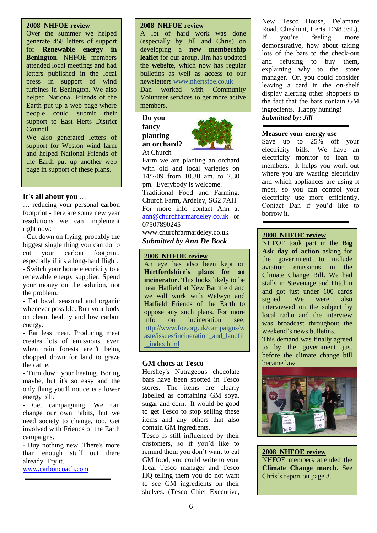#### **2008 NHFOE review**

Over the summer we helped generate 458 letters of support for **Renewable energy in Benington**. NHFOE members attended local meetings and had letters published in the local press in support of wind turbines in Benington. We also helped National Friends of the Earth put up a web page where people could submit their support to East Herts District Council.

We also generated letters of support for Weston wind farm and helped National Friends of the Earth put up another web page in support of these plans.

# **It's all about you** …

… reducing your personal carbon footprint - here are some new year resolutions we can implement right now:

- Cut down on flying, probably the biggest single thing you can do to cut your carbon footprint, especially if it's a long-haul flight. - Switch your home electricity to a renewable energy supplier. Spend your money on the solution, not the problem.

- Eat local, seasonal and organic whenever possible. Run your body on clean, healthy and low carbon energy.

- Eat less meat. Producing meat creates lots of emissions, even when rain forests aren't being chopped down for land to graze the cattle.

- Turn down your heating. Boring maybe, but it's so easy and the only thing you'll notice is a lower energy bill.

- Get campaigning. We can change our own habits, but we need society to change, too. Get involved with Friends of the Earth campaigns.

- Buy nothing new. There's more than enough stuff out there already. Try it.

[www.carboncoach.com](http://www.carboncoach.com/)

#### **2008 NHFOE review**

A lot of hard work was done (especially by Jill and Chris) on developing a **new membership leaflet** for our group. Jim has updated the **website**, which now has regular bulletins as well as access to our newsletters www.nhertsfoe.co.uk Dan worked with Community Volunteer services to get more active members.

**Do you fancy planting an orchard?** At Church



Farm we are planting an orchard with old and local varieties on 14/2/09 from 10.30 am. to 2.30 pm. Everybody is welcome.

Traditional Food and Farming, Church Farm, Ardeley, SG2 7AH For more info contact Ann at [ann@churchfarmardeley.co.uk](mailto:ann@churchfarmardeley.co.uk) or 07507890245

www.churchfarmardeley.co.uk *Submitted by Ann De Bock*

# **2008 NHFOE review**

An eye has also been kept on **Hertfordshire's plans for an incinerator**. This looks likely to be near Hatfield at New Barnfield and we will work with Welwyn and Hatfield Friends of the Earth to oppose any such plans. For more info on incineration see: [http://www.foe.org.uk/campaigns/w](http://www.foe.org.uk/campaigns/waste/issues/incineration_and_landfill_index.html) [aste/issues/incineration\\_and\\_landfil](http://www.foe.org.uk/campaigns/waste/issues/incineration_and_landfill_index.html) [l\\_index.html](http://www.foe.org.uk/campaigns/waste/issues/incineration_and_landfill_index.html)

# **GM chocs at Tesco**

Hershey's Nutrageous chocolate bars have been spotted in Tesco stores. The items are clearly labelled as containing GM soya, sugar and corn. It would be good to get Tesco to stop selling these items and any others that also contain GM ingredients.

Tesco is still influenced by their customers, so if you"d like to remind them you don"t want to eat GM food, you could write to your local Tesco manager and Tesco HQ telling them you do not want to see GM ingredients on their shelves. (Tesco Chief Executive, New Tesco House, Delamare Road, Cheshunt, Herts EN8 9SL). If you"re feeling more demonstrative, how about taking lots of the bars to the check-out and refusing to buy them, explaining why to the store manager. Or, you could consider leaving a card in the on-shelf display alerting other shoppers to the fact that the bars contain GM ingredients. Happy hunting! *Submitted by: Jill*

#### **Measure your energy use**

Save up to 25% off your electricity bills. We have an electricity monitor to loan to members. It helps you work out where you are wasting electricity and which appliances are using it most, so you can control your electricity use more efficiently. Contact Dan if you"d like to borrow it.

# **2008 NHFOE review**

NHFOE took part in the **Big Ask day of action** asking for the government to include aviation emissions in the Climate Change Bill. We had stalls in Stevenage and Hitchin and got just under 100 cards signed. We were also interviewed on the subject by local radio and the interview was broadcast throughout the weekend"s news bulletins.

This demand was finally agreed to by the government just before the climate change bill became law.



**2008 NHFOE review** NHFOE members attended the **Climate Change march**. See Chris"s report on page 3.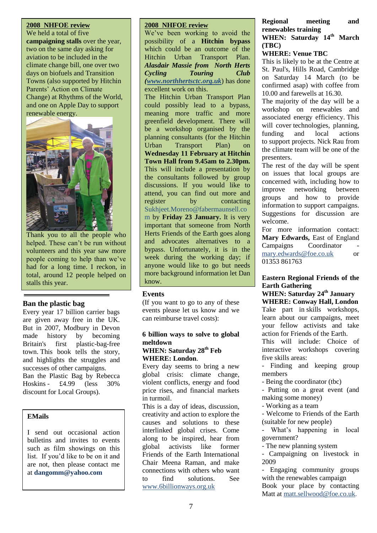#### **2008 NHFOE review** We held a total of five

**campaigning stalls** over the year, two on the same day asking for aviation to be included in the climate change bill, one over two days on biofuels and Transition Towns (also supported by Hitchin Parents" Action on Climate Change) at Rhythms of the World, and one on Apple Day to support renewable energy.



Thank you to all the people who helped. These can't be run without volunteers and this year saw more people coming to help than we"ve had for a long time. I reckon, in total, around 12 people helped on stalls this year.

# **Ban the plastic bag**

Every year 17 billion carrier bags are given away free in the UK. But in 2007, Modbury in Devon made history by becoming Britain's first plastic-bag-free town. This book tells the story, and highlights the struggles and successes of other campaigns. [Ban the Plastic Bag by Rebecca](http://www.foe.co.uk/phplist/lists/lt.php?id=Kh5RAwYAXg4DAkpUAQ1MVg8DAgA%3D) 

[Hoskins](http://www.foe.co.uk/phplist/lists/lt.php?id=Kh5RAwYAXg4DAkpUAQ1MVg8DAgA%3D) - £4.99 (less 30% discount for Local Groups).

# **EMails**

I send out occasional action bulletins and invites to events such as film showings on this list. If you"d like to be on it and are not, then please contact me at **dangomm@yahoo.com**

# **2008 NHFOE review**

We've been working to avoid the possibility of a **Hitchin bypass** which could be an outcome of the Hitchin Urban Transport Plan. *Alasdair Massie from North Herts Cycling Touring Club [\(www.northhertsctc.org.uk](http://www.northhertsctc.org.uk/)*) has done excellent work on this.

The Hitchin Urban Transport Plan could possibly lead to a bypass, meaning more traffic and more greenfield development. There will be a workshop organised by the planning consultants (for the Hitchin Urban Transport Plan) on **Wednesday 11 February at Hitchin Town Hall from 9.45am to 2.30pm.** This will include a presentation by the consultants followed by group discussions. If you would like to attend, you can find out more and register by contacting Sukhjeet.Moreno@fabermaunsell.co m by **Friday 23 January.** It is very important that someone from North Herts Friends of the Earth goes along and advocates alternatives to a bypass. Unfortunately, it is in the week during the working day; if anyone would like to go but needs more background information let Dan know.

# **Events**

(If you want to go to any of these events please let us know and we can reimburse travel costs):

# **6 billion ways to solve to global meltdown**

# **WHEN: Saturday 28th Feb WHERE: London**.

Every day seems to bring a new global crisis: climate change, violent conflicts, energy and food price rises, and financial markets in turmoil.

This is a day of ideas, discussion, creativity and action to explore the causes and solutions to these interlinked global crises. Come along to be inspired, hear from global activists like former Friends of the Earth International Chair Meena Raman, and make connections with others who want to find solutions. See [www.6billionways.org.uk](http://www.foe.co.uk/phplist/lists/lt.php?id=Kh5RAwYAXg4DAEpUAQ1MVg8DAgA%3D)

#### **Regional meeting and renewables training WHEN: Saturday 14th March (TBC)**

# **WHERE: Venue TBC**

This is likely to be at the Centre at St. Paul's, Hills Road, Cambridge on Saturday 14 March (to be confirmed asap) with coffee from 10.00 and farewells at 16.30.

The majority of the day will be a workshop on renewables and associated energy efficiency. This will cover technologies, planning, funding and local actions to support projects. Nick Rau from the climate team will be one of the presenters.

The rest of the day will be spent on issues that local groups are concerned with, including how to improve networking between groups and how to provide information to support campaigns. Suggestions for discussion are welcome.

For more information contact: **Mary Edwards,** East of England Campaigns Coordinator [mary.edwards@foe.co.uk](http://us.mc421.mail.yahoo.com/mc/compose?to=mary.edwards@foe.co.uk) or 01353 861763

# **Eastern Regional Friends of the Earth Gathering**

# **WHEN: Saturday 24th January WHERE: Conway Hall, London**

Take part in skills workshops, learn about our campaigns, meet your fellow activists and take action for Friends of the Earth.

This will include: Choice of interactive workshops covering five skills areas:

- Finding and keeping group members

- Being the coordinator (tbc)

- Putting on a great event (and making some money)

- Working as a team

- Welcome to Friends of the Earth (suitable for new people)

- What"s happening in local government?

- The new planning system

- Campaigning on livestock in 2009

- Engaging community groups with the renewables campaign Book your place by contacting Matt at [matt.sellwood@foe.co.uk.](http://us.mc421.mail.yahoo.com/mc/compose?to=matt.sellwood@foe.co.uk)